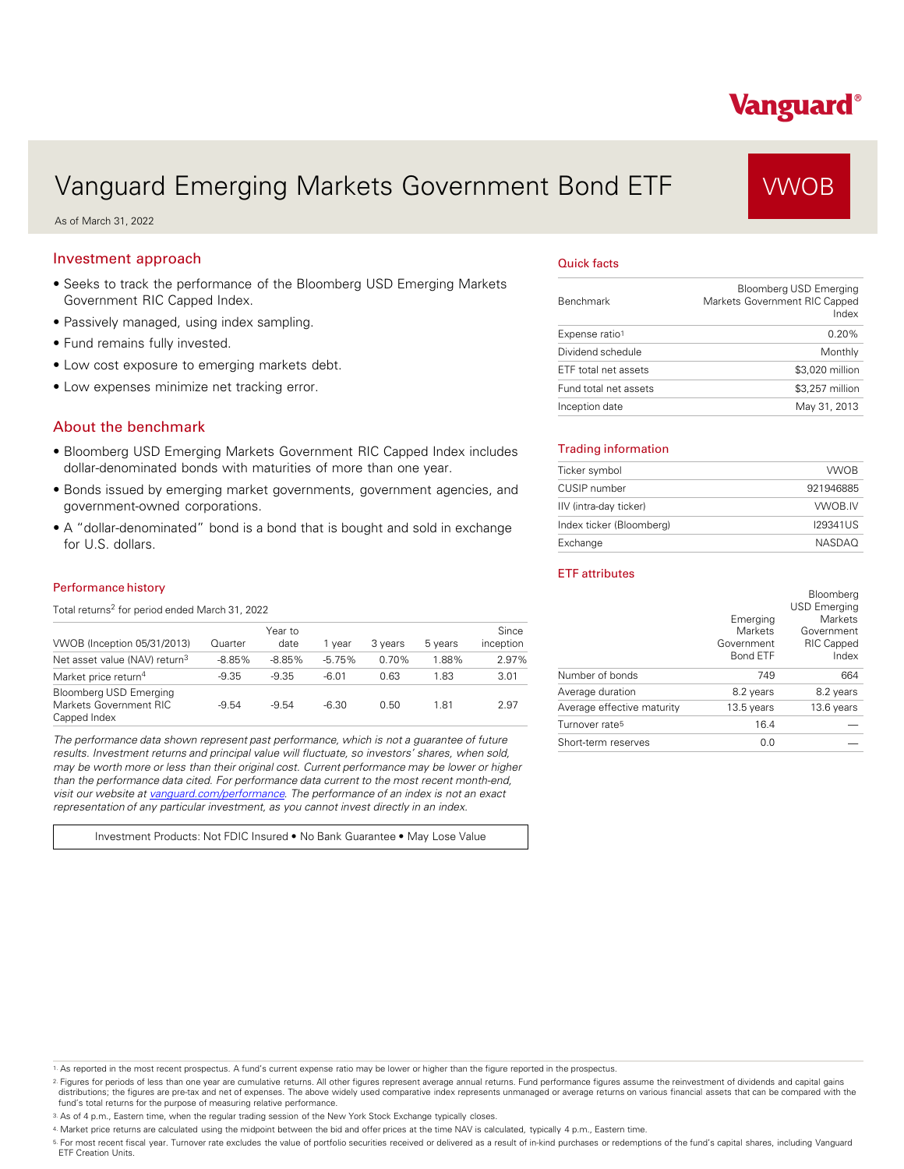# Vanguard Emerging Markets Government Bond ETF VWOB

As of March 31, 2022

## Investment approach

- Seeks to track the performance of the Bloomberg USD Emerging Markets Government RIC Capped Index.
- Passively managed, using index sampling.
- Fund remains fully invested.
- Low cost exposure to emerging markets debt.
- Low expenses minimize net tracking error.

## About the benchmark

- Bloomberg USD Emerging Markets Government RIC Capped Index includes dollar-denominated bonds with maturities of more than one year.
- Bonds issued by emerging market governments, government agencies, and government-owned corporations.
- A "dollar-denominated" bond is a bond that is bought and sold in exchange for U.S. dollars.

#### Performance history

Total returns<sup>2</sup> for period ended March 31, 2022

| VWOB (Inception 05/31/2013)                                             | Quarter  | Year to<br>date | 1 vear   | 3 years | 5 years | Since<br>inception |
|-------------------------------------------------------------------------|----------|-----------------|----------|---------|---------|--------------------|
| Net asset value (NAV) return <sup>3</sup>                               | $-8.85%$ | $-8.85%$        | $-5.75%$ | 0.70%   | 1.88%   | 2.97%              |
| Market price return <sup>4</sup>                                        | $-9.35$  | $-9.35$         | $-6.01$  | 0.63    | 1.83    | 3.01               |
| <b>Bloomberg USD Emerging</b><br>Markets Government RIC<br>Capped Index | $-9.54$  | $-9.54$         | -6.30    | 0.50    | 1.81    | 2.97               |

*The performance data shown represent past performance, which is not a guarantee of future results. Investment returns and principal value will fluctuate, so investors' shares, when sold, may be worth more or less than their original cost. Current performance may be lower or higher than the performance data cited. For performance data current to the most recent month-end, visit our website at [vanguard.com/performance .](http://www.vanguard.com/performance) The performance of an index is not an exact representation of any particular investment, as you cannot invest directly in an index.* 

Investment Products: Not FDIC Insured • No Bank Guarantee • May Lose Value

#### Quick facts

| <b>Benchmark</b>      | <b>Bloomberg USD Emerging</b><br>Markets Government RIC Capped<br>Index |
|-----------------------|-------------------------------------------------------------------------|
| Expense ratio1        | 0.20%                                                                   |
| Dividend schedule     | Monthly                                                                 |
| ETF total net assets  | \$3,020 million                                                         |
| Fund total net assets | \$3,257 million                                                         |
| Inception date        | May 31, 2013                                                            |

#### Trading information

| Ticker symbol            | <b>VWOB</b>   |
|--------------------------|---------------|
| CUSIP number             | 921946885     |
| IIV (intra-day ticker)   | VWOB.IV       |
| Index ticker (Bloomberg) | 129341US      |
| Exchange                 | <b>NASDAO</b> |

#### ETF attributes

|                            | Emerging<br><b>Markets</b>    | Bloomberg<br><b>USD Emerging</b><br><b>Markets</b><br>Government |
|----------------------------|-------------------------------|------------------------------------------------------------------|
|                            | Government<br><b>Bond ETF</b> | <b>RIC Capped</b><br>Index                                       |
| Number of bonds            | 749                           | 664                                                              |
| Average duration           | 8.2 years                     | 8.2 years                                                        |
| Average effective maturity | 13.5 years                    | 13.6 years                                                       |
| Turnover rate <sup>5</sup> | 16.4                          |                                                                  |
| Short-term reserves        | 0.0                           |                                                                  |

1. As reported in the most recent prospectus. A fund's current expense ratio may be lower or higher than the figure reported in the prospectus.

2. Figures for periods of less than one year are cumulative returns. All other figures represent average annual returns. Fund performance figures assume the reinvestment of dividends and capital gains distributions; the figures are pre-tax and net of expenses. The above widely used comparative index represents unmanaged or average returns on various financial assets that can be compared with the<br>fund's total returns for

3. As of 4 p.m., Eastern time, when the regular trading session of the New York Stock Exchange typically closes.

4. Market price returns are calculated using the midpoint between the bid and offer prices at the time NAV is calculated, typically 4 p.m., Eastern time.

<sup>5.</sup> For most recent fiscal year. Turnover rate excludes the value of portfolio securities received or delivered as a result of in-kind purchases or redemptions of the fund's capital shares, including Vanguard<br>ETF Creation